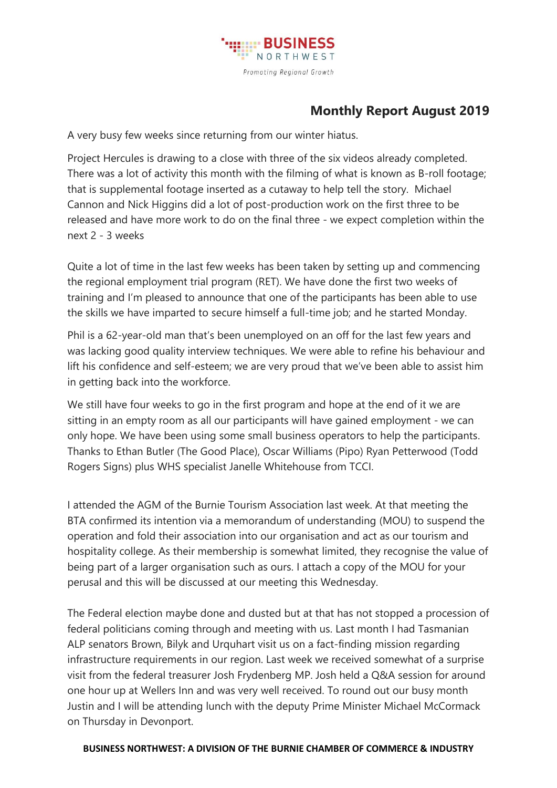

## **Monthly Report August 2019**

A very busy few weeks since returning from our winter hiatus.

Project Hercules is drawing to a close with three of the six videos already completed. There was a lot of activity this month with the filming of what is known as B-roll footage; that is supplemental footage inserted as a cutaway to help tell the story. Michael Cannon and Nick Higgins did a lot of post-production work on the first three to be released and have more work to do on the final three - we expect completion within the next 2 - 3 weeks

Quite a lot of time in the last few weeks has been taken by setting up and commencing the regional employment trial program (RET). We have done the first two weeks of training and I'm pleased to announce that one of the participants has been able to use the skills we have imparted to secure himself a full-time job; and he started Monday.

Phil is a 62-year-old man that's been unemployed on an off for the last few years and was lacking good quality interview techniques. We were able to refine his behaviour and lift his confidence and self-esteem; we are very proud that we've been able to assist him in getting back into the workforce.

We still have four weeks to go in the first program and hope at the end of it we are sitting in an empty room as all our participants will have gained employment - we can only hope. We have been using some small business operators to help the participants. Thanks to Ethan Butler (The Good Place), Oscar Williams (Pipo) Ryan Petterwood (Todd Rogers Signs) plus WHS specialist Janelle Whitehouse from TCCI.

I attended the AGM of the Burnie Tourism Association last week. At that meeting the BTA confirmed its intention via a memorandum of understanding (MOU) to suspend the operation and fold their association into our organisation and act as our tourism and hospitality college. As their membership is somewhat limited, they recognise the value of being part of a larger organisation such as ours. I attach a copy of the MOU for your perusal and this will be discussed at our meeting this Wednesday.

The Federal election maybe done and dusted but at that has not stopped a procession of federal politicians coming through and meeting with us. Last month I had Tasmanian ALP senators Brown, Bilyk and Urquhart visit us on a fact-finding mission regarding infrastructure requirements in our region. Last week we received somewhat of a surprise visit from the federal treasurer Josh Frydenberg MP. Josh held a Q&A session for around one hour up at Wellers Inn and was very well received. To round out our busy month Justin and I will be attending lunch with the deputy Prime Minister Michael McCormack on Thursday in Devonport.